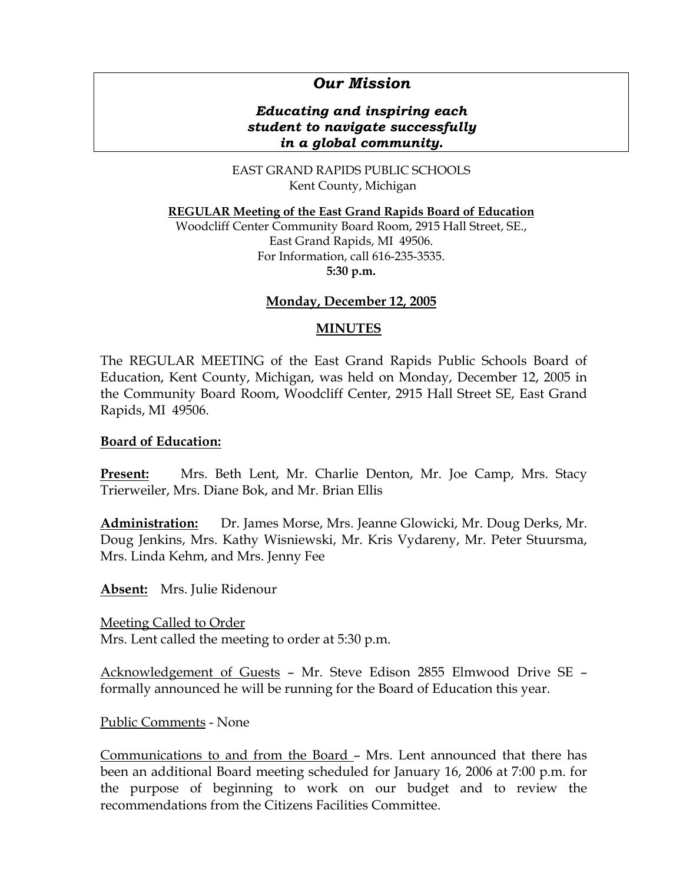# *Our Mission*

## *Educating and inspiring each student to navigate successfully in a global community.*

EAST GRAND RAPIDS PUBLIC SCHOOLS Kent County, Michigan

**REGULAR Meeting of the East Grand Rapids Board of Education**

Woodcliff Center Community Board Room, 2915 Hall Street, SE., East Grand Rapids, MI 49506. For Information, call 616-235-3535. **5:30 p.m.**

## **Monday, December 12, 2005**

## **MINUTES**

The REGULAR MEETING of the East Grand Rapids Public Schools Board of Education, Kent County, Michigan, was held on Monday, December 12, 2005 in the Community Board Room, Woodcliff Center, 2915 Hall Street SE, East Grand Rapids, MI 49506.

#### **Board of Education:**

**Present:** Mrs. Beth Lent, Mr. Charlie Denton, Mr. Joe Camp, Mrs. Stacy Trierweiler, Mrs. Diane Bok, and Mr. Brian Ellis

**Administration:** Dr. James Morse, Mrs. Jeanne Glowicki, Mr. Doug Derks, Mr. Doug Jenkins, Mrs. Kathy Wisniewski, Mr. Kris Vydareny, Mr. Peter Stuursma, Mrs. Linda Kehm, and Mrs. Jenny Fee

**Absent:** Mrs. Julie Ridenour

Meeting Called to Order Mrs. Lent called the meeting to order at 5:30 p.m.

Acknowledgement of Guests – Mr. Steve Edison 2855 Elmwood Drive SE – formally announced he will be running for the Board of Education this year.

Public Comments - None

Communications to and from the Board – Mrs. Lent announced that there has been an additional Board meeting scheduled for January 16, 2006 at 7:00 p.m. for the purpose of beginning to work on our budget and to review the recommendations from the Citizens Facilities Committee.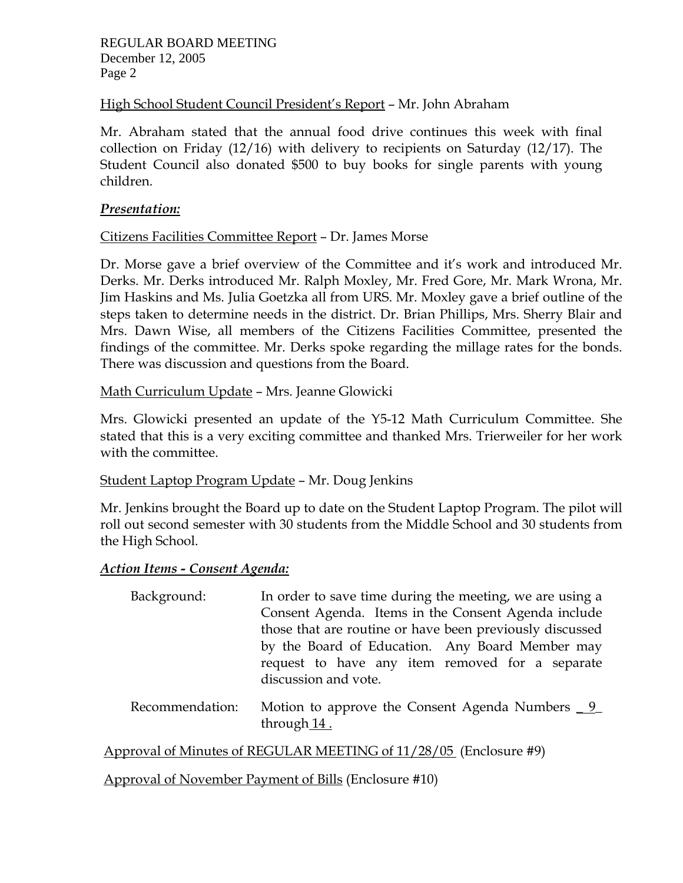REGULAR BOARD MEETING December 12, 2005 Page 2

## High School Student Council President's Report - Mr. John Abraham

Mr. Abraham stated that the annual food drive continues this week with final collection on Friday (12/16) with delivery to recipients on Saturday (12/17). The Student Council also donated \$500 to buy books for single parents with young children.

#### *Presentation:*

# Citizens Facilities Committee Report – Dr. James Morse

Dr. Morse gave a brief overview of the Committee and it's work and introduced Mr. Derks. Mr. Derks introduced Mr. Ralph Moxley, Mr. Fred Gore, Mr. Mark Wrona, Mr. Jim Haskins and Ms. Julia Goetzka all from URS. Mr. Moxley gave a brief outline of the steps taken to determine needs in the district. Dr. Brian Phillips, Mrs. Sherry Blair and Mrs. Dawn Wise, all members of the Citizens Facilities Committee, presented the findings of the committee. Mr. Derks spoke regarding the millage rates for the bonds. There was discussion and questions from the Board.

## Math Curriculum Update – Mrs. Jeanne Glowicki

Mrs. Glowicki presented an update of the Y5-12 Math Curriculum Committee. She stated that this is a very exciting committee and thanked Mrs. Trierweiler for her work with the committee.

#### Student Laptop Program Update – Mr. Doug Jenkins

Mr. Jenkins brought the Board up to date on the Student Laptop Program. The pilot will roll out second semester with 30 students from the Middle School and 30 students from the High School.

## *Action Items - Consent Agenda:*

| Background: | In order to save time during the meeting, we are using a |
|-------------|----------------------------------------------------------|
|             | Consent Agenda. Items in the Consent Agenda include      |
|             | those that are routine or have been previously discussed |
|             | by the Board of Education. Any Board Member may          |
|             | request to have any item removed for a separate          |
|             | discussion and vote.                                     |
|             |                                                          |

 Recommendation: Motion to approve the Consent Agenda Numbers \_ 9\_ through 14.

Approval of Minutes of REGULAR MEETING of 11/28/05 (Enclosure #9)

Approval of November Payment of Bills (Enclosure #10)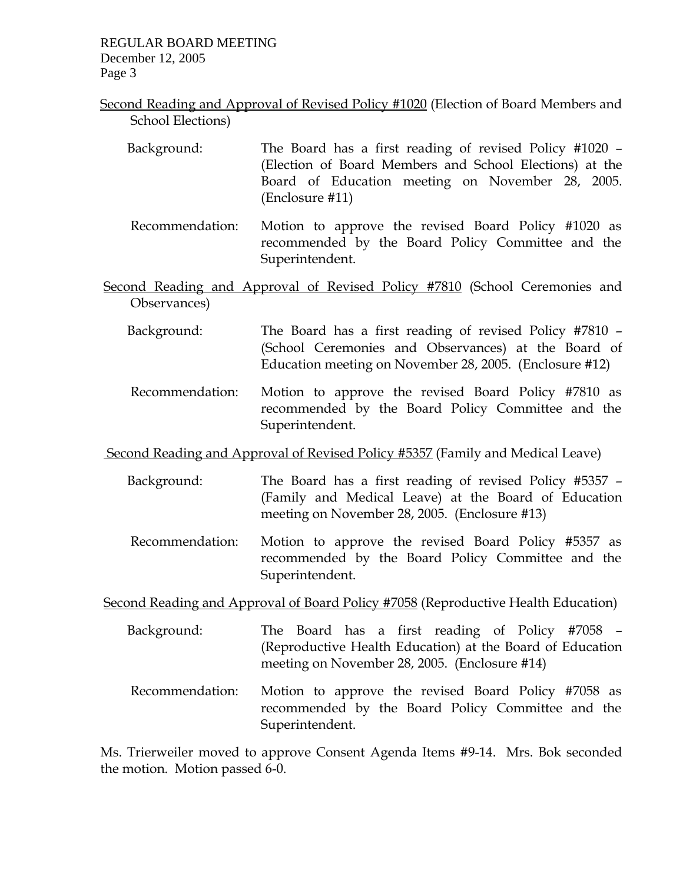REGULAR BOARD MEETING December 12, 2005 Page 3

- Second Reading and Approval of Revised Policy #1020 (Election of Board Members and School Elections)
	- Background: The Board has a first reading of revised Policy #1020 (Election of Board Members and School Elections) at the Board of Education meeting on November 28, 2005. (Enclosure #11)
	- Recommendation: Motion to approve the revised Board Policy #1020 as recommended by the Board Policy Committee and the Superintendent.
- Second Reading and Approval of Revised Policy #7810 (School Ceremonies and Observances)
	- Background: The Board has a first reading of revised Policy #7810 (School Ceremonies and Observances) at the Board of Education meeting on November 28, 2005. (Enclosure #12)
	- Recommendation: Motion to approve the revised Board Policy #7810 as recommended by the Board Policy Committee and the Superintendent.

Second Reading and Approval of Revised Policy #5357 (Family and Medical Leave)

- Background: The Board has a first reading of revised Policy #5357 (Family and Medical Leave) at the Board of Education meeting on November 28, 2005. (Enclosure #13)
- Recommendation: Motion to approve the revised Board Policy #5357 as recommended by the Board Policy Committee and the Superintendent.

Second Reading and Approval of Board Policy #7058 (Reproductive Health Education)

- Background: The Board has a first reading of Policy #7058 (Reproductive Health Education) at the Board of Education meeting on November 28, 2005. (Enclosure #14)
- Recommendation: Motion to approve the revised Board Policy #7058 as recommended by the Board Policy Committee and the Superintendent.

Ms. Trierweiler moved to approve Consent Agenda Items #9-14. Mrs. Bok seconded the motion. Motion passed 6-0.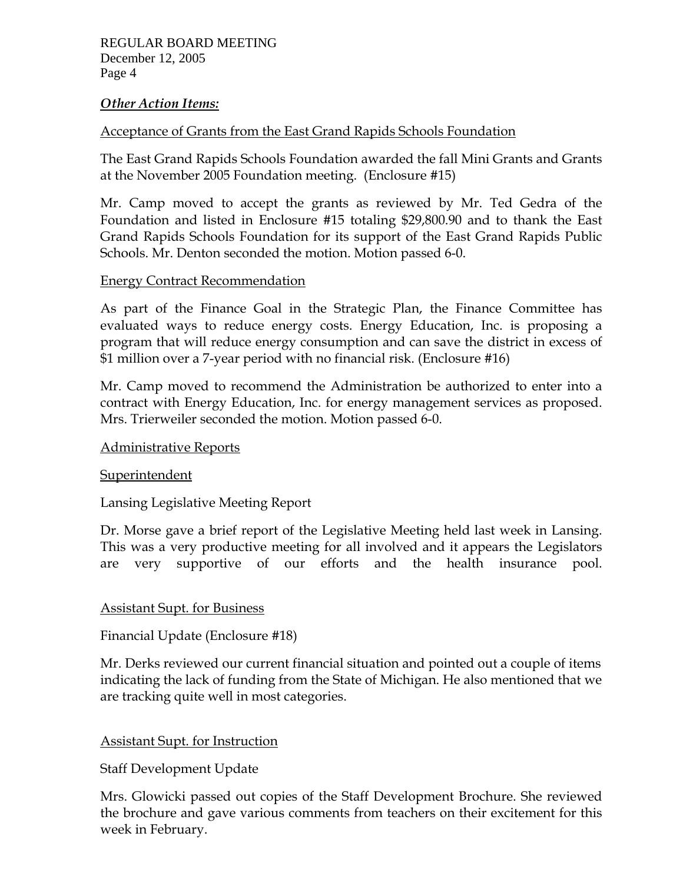#### *Other Action Items:*

## Acceptance of Grants from the East Grand Rapids Schools Foundation

The East Grand Rapids Schools Foundation awarded the fall Mini Grants and Grants at the November 2005 Foundation meeting. (Enclosure #15)

Mr. Camp moved to accept the grants as reviewed by Mr. Ted Gedra of the Foundation and listed in Enclosure #15 totaling \$29,800.90 and to thank the East Grand Rapids Schools Foundation for its support of the East Grand Rapids Public Schools. Mr. Denton seconded the motion. Motion passed 6-0.

## Energy Contract Recommendation

As part of the Finance Goal in the Strategic Plan, the Finance Committee has evaluated ways to reduce energy costs. Energy Education, Inc. is proposing a program that will reduce energy consumption and can save the district in excess of \$1 million over a 7-year period with no financial risk. (Enclosure #16)

Mr. Camp moved to recommend the Administration be authorized to enter into a contract with Energy Education, Inc. for energy management services as proposed. Mrs. Trierweiler seconded the motion. Motion passed 6-0.

## Administrative Reports

## Superintendent

Lansing Legislative Meeting Report

Dr. Morse gave a brief report of the Legislative Meeting held last week in Lansing. This was a very productive meeting for all involved and it appears the Legislators are very supportive of our efforts and the health insurance pool.

## Assistant Supt. for Business

Financial Update (Enclosure #18)

Mr. Derks reviewed our current financial situation and pointed out a couple of items indicating the lack of funding from the State of Michigan. He also mentioned that we are tracking quite well in most categories.

## Assistant Supt. for Instruction

Staff Development Update

Mrs. Glowicki passed out copies of the Staff Development Brochure. She reviewed the brochure and gave various comments from teachers on their excitement for this week in February.